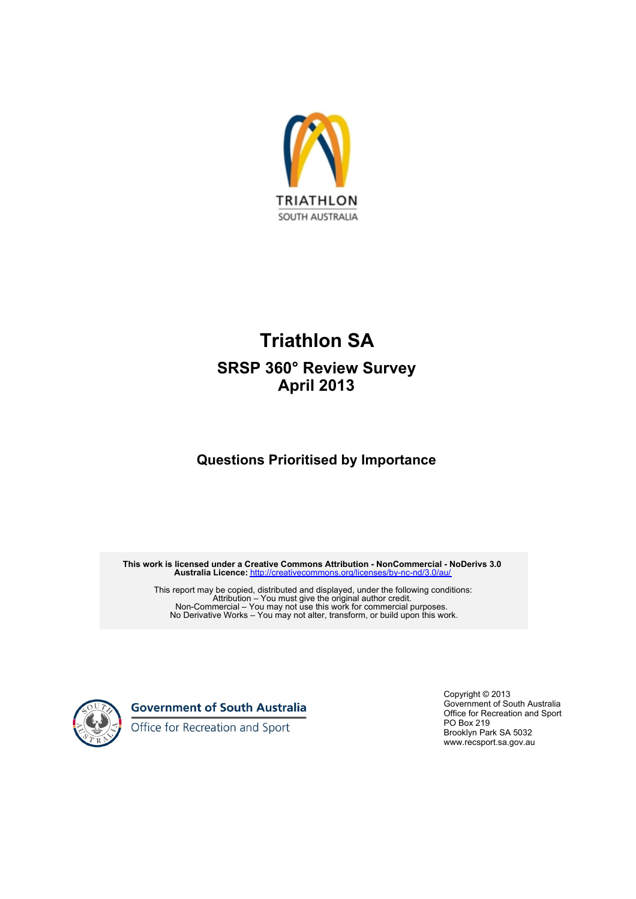

## **Triathlon SA SRSP 360° Review Survey April 2013**

## **Questions Prioritised by Importance**

**This work is licensed under a Creative Commons Attribution - NonCommercial - NoDerivs 3.0 Australia Licence:** <http://creativecommons.org/licenses/by-nc-nd/3.0/au/>

This report may be copied, distributed and displayed, under the following conditions: Attribution – You must give the original author credit. Non-Commercial – You may not use this work for commercial purposes. No Derivative Works – You may not alter, transform, or build upon this work.



**Government of South Australia** 

Office for Recreation and Sport

Copyright © 2013 Government of South Australia Office for Recreation and Sport PO Box 219 Brooklyn Park SA 5032 www.recsport.sa.gov.au